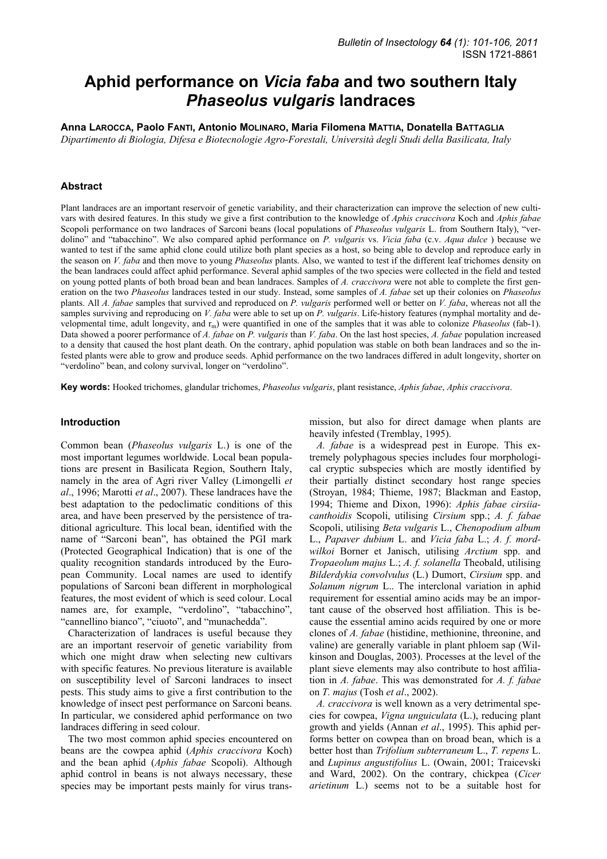# **Aphid performance on** *Vicia faba* **and two southern Italy**  *Phaseolus vulgaris* **landraces**

**Anna LAROCCA, Paolo FANTI, Antonio MOLINARO, Maria Filomena MATTIA, Donatella BATTAGLIA**

*Dipartimento di Biologia, Difesa e Biotecnologie Agro-Forestali, Università degli Studi della Basilicata, Italy* 

### **Abstract**

Plant landraces are an important reservoir of genetic variability, and their characterization can improve the selection of new cultivars with desired features. In this study we give a first contribution to the knowledge of *Aphis craccivora* Koch and *Aphis fabae* Scopoli performance on two landraces of Sarconi beans (local populations of *Phaseolus vulgaris* L. from Southern Italy), "verdolino" and "tabacchino". We also compared aphid performance on *P. vulgaris* vs. *Vicia faba* (c.v. *Aqua dulce* ) because we wanted to test if the same aphid clone could utilize both plant species as a host, so being able to develop and reproduce early in the season on *V. faba* and then move to young *Phaseolus* plants. Also, we wanted to test if the different leaf trichomes density on the bean landraces could affect aphid performance. Several aphid samples of the two species were collected in the field and tested on young potted plants of both broad bean and bean landraces. Samples of *A. craccivora* were not able to complete the first generation on the two *Phaseolus* landraces tested in our study. Instead, some samples of *A. fabae* set up their colonies on *Phaseolus* plants. All *A. fabae* samples that survived and reproduced on *P. vulgaris* performed well or better on *V. faba*, whereas not all the samples surviving and reproducing on *V. faba* were able to set up on *P. vulgaris*. Life-history features (nymphal mortality and developmental time, adult longevity, and r<sub>m</sub>) were quantified in one of the samples that it was able to colonize *Phaseolus* (fab-1). Data showed a poorer performance of *A. fabae* on *P. vulgaris* than *V. faba*. On the last host species, *A. fabae* population increased to a density that caused the host plant death. On the contrary, aphid population was stable on both bean landraces and so the infested plants were able to grow and produce seeds. Aphid performance on the two landraces differed in adult longevity, shorter on "verdolino" bean, and colony survival, longer on "verdolino".

**Key words:** Hooked trichomes, glandular trichomes, *Phaseolus vulgaris*, plant resistance, *Aphis fabae*, *Aphis craccivora*.

#### **Introduction**

Common bean (*Phaseolus vulgaris* L.) is one of the most important legumes worldwide. Local bean populations are present in Basilicata Region, Southern Italy, namely in the area of Agri river Valley (Limongelli *et al*., 1996; Marotti *et al*., 2007). These landraces have the best adaptation to the pedoclimatic conditions of this area, and have been preserved by the persistence of traditional agriculture. This local bean, identified with the name of "Sarconi bean", has obtained the PGI mark (Protected Geographical Indication) that is one of the quality recognition standards introduced by the European Community. Local names are used to identify populations of Sarconi bean different in morphological features, the most evident of which is seed colour. Local names are, for example, "verdolino", "tabacchino", "cannellino bianco", "ciuoto", and "munachedda".

Characterization of landraces is useful because they are an important reservoir of genetic variability from which one might draw when selecting new cultivars with specific features. No previous literature is available on susceptibility level of Sarconi landraces to insect pests. This study aims to give a first contribution to the knowledge of insect pest performance on Sarconi beans. In particular, we considered aphid performance on two landraces differing in seed colour.

The two most common aphid species encountered on beans are the cowpea aphid (*Aphis craccivora* Koch) and the bean aphid (*Aphis fabae* Scopoli). Although aphid control in beans is not always necessary, these species may be important pests mainly for virus transmission, but also for direct damage when plants are heavily infested (Tremblay, 1995).

*A. fabae* is a widespread pest in Europe. This extremely polyphagous species includes four morphological cryptic subspecies which are mostly identified by their partially distinct secondary host range species (Stroyan, 1984; Thieme, 1987; Blackman and Eastop, 1994; Thieme and Dixon, 1996): *Aphis fabae cirsiiacanthoidis* Scopoli, utilising *Cirsium* spp.; *A. f. fabae*  Scopoli, utilising *Beta vulgaris* L., *Chenopodium album*  L., *Papaver dubium* L. and *Vicia faba* L.; *A. f. mordwilkoi* Borner et Janisch, utilising *Arctium* spp. and *Tropaeolum majus* L.; *A. f. solanella* Theobald, utilising *Bilderdykia convolvulus* (L.) Dumort, *Cirsium* spp. and *Solanum nigrum* L.. The interclonal variation in aphid requirement for essential amino acids may be an important cause of the observed host affiliation. This is because the essential amino acids required by one or more clones of *A. fabae* (histidine, methionine, threonine, and valine) are generally variable in plant phloem sap (Wilkinson and Douglas, 2003). Processes at the level of the plant sieve elements may also contribute to host affiliation in *A. fabae*. This was demonstrated for *A. f. fabae*  on *T. majus* (Tosh *et al*., 2002).

*A. craccivora* is well known as a very detrimental species for cowpea, *Vigna unguiculata* (L.), reducing plant growth and yields (Annan *et al*., 1995). This aphid performs better on cowpea than on broad bean, which is a better host than *Trifolium subterraneum* L., *T. repens* L. and *Lupinus angustifolius* L. (Owain, 2001; Traicevski and Ward, 2002). On the contrary, chickpea (*Cicer arietinum* L.) seems not to be a suitable host for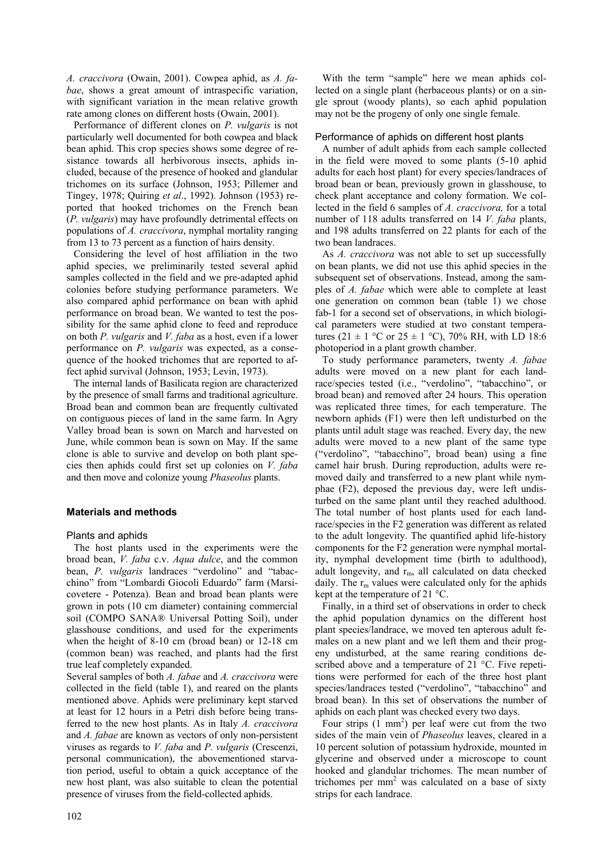*A. craccivora* (Owain, 2001). Cowpea aphid, as *A. fabae*, shows a great amount of intraspecific variation, with significant variation in the mean relative growth rate among clones on different hosts (Owain, 2001).

Performance of different clones on *P. vulgaris* is not particularly well documented for both cowpea and black bean aphid. This crop species shows some degree of resistance towards all herbivorous insects, aphids included, because of the presence of hooked and glandular trichomes on its surface (Johnson, 1953; Pillemer and Tingey, 1978; Quiring *et al*., 1992). Johnson (1953) reported that hooked trichomes on the French bean (*P. vulgaris*) may have profoundly detrimental effects on populations of *A. craccivora*, nymphal mortality ranging from 13 to 73 percent as a function of hairs density.

Considering the level of host affiliation in the two aphid species, we preliminarily tested several aphid samples collected in the field and we pre-adapted aphid colonies before studying performance parameters. We also compared aphid performance on bean with aphid performance on broad bean. We wanted to test the possibility for the same aphid clone to feed and reproduce on both *P. vulgaris* and *V. faba* as a host, even if a lower performance on *P. vulgaris* was expected, as a consequence of the hooked trichomes that are reported to affect aphid survival (Johnson, 1953; Levin, 1973).

The internal lands of Basilicata region are characterized by the presence of small farms and traditional agriculture. Broad bean and common bean are frequently cultivated on contiguous pieces of land in the same farm. In Agry Valley broad bean is sown on March and harvested on June, while common bean is sown on May. If the same clone is able to survive and develop on both plant species then aphids could first set up colonies on *V. faba* and then move and colonize young *Phaseolus* plants.

# **Materials and methods**

# Plants and aphids

The host plants used in the experiments were the broad bean, *V. faba* c.v. *Aqua dulce*, and the common bean, *P. vulgaris* landraces "verdolino" and "tabacchino" from "Lombardi Giocoli Eduardo" farm (Marsicovetere - Potenza). Bean and broad bean plants were grown in pots (10 cm diameter) containing commercial soil (COMPO SANA® Universal Potting Soil), under glasshouse conditions, and used for the experiments when the height of 8-10 cm (broad bean) or 12-18 cm (common bean) was reached, and plants had the first true leaf completely expanded.

Several samples of both *A. fabae* and *A. craccivora* were collected in the field (table 1), and reared on the plants mentioned above. Aphids were preliminary kept starved at least for 12 hours in a Petri dish before being transferred to the new host plants. As in Italy *A. craccivora* and *A. fabae* are known as vectors of only non-persistent viruses as regards to *V. faba* and *P. vulgaris* (Crescenzi, personal communication), the abovementioned starvation period, useful to obtain a quick acceptance of the new host plant, was also suitable to clean the potential presence of viruses from the field-collected aphids.

102

With the term "sample" here we mean aphids collected on a single plant (herbaceous plants) or on a single sprout (woody plants), so each aphid population may not be the progeny of only one single female.

# Performance of aphids on different host plants

A number of adult aphids from each sample collected in the field were moved to some plants (5-10 aphid adults for each host plant) for every species/landraces of broad bean or bean, previously grown in glasshouse, to check plant acceptance and colony formation. We collected in the field 6 samples of *A. craccivora,* for a total number of 118 adults transferred on 14 *V. faba* plants, and 198 adults transferred on 22 plants for each of the two bean landraces.

As *A. craccivora* was not able to set up successfully on bean plants, we did not use this aphid species in the subsequent set of observations. Instead, among the samples of *A. fabae* which were able to complete at least one generation on common bean (table 1) we chose fab-1 for a second set of observations, in which biological parameters were studied at two constant temperatures (21  $\pm$  1 °C or 25  $\pm$  1 °C), 70% RH, with LD 18:6 photoperiod in a plant growth chamber.

To study performance parameters, twenty *A. fabae* adults were moved on a new plant for each landrace/species tested (i.e., "verdolino", "tabacchino", or broad bean) and removed after 24 hours. This operation was replicated three times, for each temperature. The newborn aphids (F1) were then left undisturbed on the plants until adult stage was reached. Every day, the new adults were moved to a new plant of the same type ("verdolino", "tabacchino", broad bean) using a fine camel hair brush. During reproduction, adults were removed daily and transferred to a new plant while nymphae (F2), deposed the previous day, were left undisturbed on the same plant until they reached adulthood. The total number of host plants used for each landrace/species in the F2 generation was different as related to the adult longevity. The quantified aphid life-history components for the F2 generation were nymphal mortality, nymphal development time (birth to adulthood), adult longevity, and  $r_m$ , all calculated on data checked daily. The  $r_m$  values were calculated only for the aphids kept at the temperature of 21 °C.

Finally, in a third set of observations in order to check the aphid population dynamics on the different host plant species/landrace, we moved ten apterous adult females on a new plant and we left them and their progeny undisturbed, at the same rearing conditions described above and a temperature of 21 °C. Five repetitions were performed for each of the three host plant species/landraces tested ("verdolino", "tabacchino" and broad bean). In this set of observations the number of aphids on each plant was checked every two days.

Four strips  $(1 \text{ mm}^2)$  per leaf were cut from the two sides of the main vein of *Phaseolus* leaves, cleared in a 10 percent solution of potassium hydroxide, mounted in glycerine and observed under a microscope to count hooked and glandular trichomes. The mean number of trichomes per  $mm<sup>2</sup>$  was calculated on a base of sixty strips for each landrace.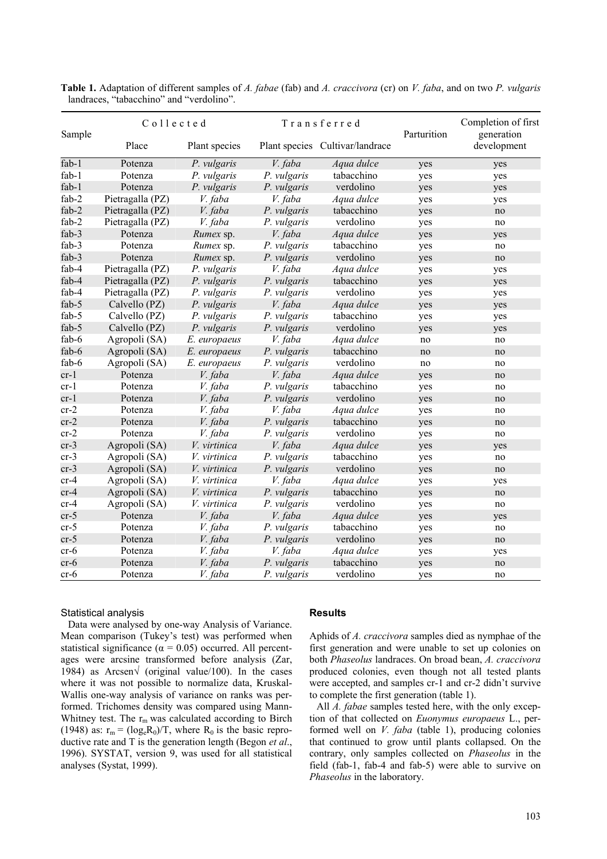| Sample   | $C_0$ llected    |                     | Transferred |                                 | Parturition | Completion of first<br>generation |
|----------|------------------|---------------------|-------------|---------------------------------|-------------|-----------------------------------|
|          | Place            | Plant species       |             | Plant species Cultivar/landrace |             | development                       |
| $fab-1$  | Potenza          | P. vulgaris         | V. faba     | Aqua dulce                      | yes         | yes                               |
| fab-1    | Potenza          | P. vulgaris         | P. vulgaris | tabacchino                      | yes         | yes                               |
| $fab-1$  | Potenza          | P. vulgaris         | P. vulgaris | verdolino                       | yes         | yes                               |
| $fab-2$  | Pietragalla (PZ) | V. faba             | V. faba     | Aqua dulce                      | yes         | yes                               |
| fab-2    | Pietragalla (PZ) | V. faba             | P. vulgaris | tabacchino                      | yes         | no                                |
| $fab-2$  | Pietragalla (PZ) | V. faba             | P. vulgaris | verdolino                       | yes         | no                                |
| fab-3    | Potenza          | Rumex sp.           | V. faba     | Aqua dulce                      | yes         | yes                               |
| fab-3    | Potenza          | Rumex sp.           | P. vulgaris | tabacchino                      | yes         | no                                |
| fab-3    | Potenza          | Rumex sp.           | P. vulgaris | verdolino                       | yes         | no                                |
| fab-4    | Pietragalla (PZ) | P. vulgaris         | V. faba     | Aqua dulce                      | yes         | yes                               |
| fab- $4$ | Pietragalla (PZ) | P. vulgaris         | P. vulgaris | tabacchino                      | yes         | yes                               |
| $fab-4$  | Pietragalla (PZ) | P. vulgaris         | P. vulgaris | verdolino                       | yes         | yes                               |
| fab-5    | Calvello (PZ)    | P. vulgaris         | V. faba     | Aqua dulce                      | yes         | yes                               |
| fab-5    | Calvello (PZ)    | P. vulgaris         | P. vulgaris | tabacchino                      | yes         | yes                               |
| fab-5    | Calvello (PZ)    | P. vulgaris         | P. vulgaris | verdolino                       | yes         | yes                               |
| fab-6    | Agropoli (SA)    | E. europaeus        | V. faba     | Aqua dulce                      | no          | no                                |
| fab-6    | Agropoli (SA)    | E. europaeus        | P. vulgaris | tabacchino                      | no          | no                                |
| fab-6    | Agropoli (SA)    | E. europaeus        | P. vulgaris | verdolino                       | no          | no                                |
| $cr-1$   | Potenza          | V. faba             | V. faba     | Aqua dulce                      | yes         | no                                |
| $cr-1$   | Potenza          | V. faba             | P. vulgaris | tabacchino                      | yes         | no                                |
| $cr-1$   | Potenza          | V. faba             | P. vulgaris | verdolino                       | yes         | no                                |
| $cr-2$   | Potenza          | V. faba             | V. faba     | Aqua dulce                      | yes         | no                                |
| $cr-2$   | Potenza          | V. faba             | P. vulgaris | tabacchino                      | yes         | no                                |
| $cr-2$   | Potenza          | V. faba             | P. vulgaris | verdolino                       | yes         | no                                |
| $cr-3$   | Agropoli (SA)    | <i>V.</i> virtinica | V. faba     | Aqua dulce                      | yes         | yes                               |
| $cr-3$   | Agropoli (SA)    | V. virtinica        | P. vulgaris | tabacchino                      | yes         | no                                |
| $cr-3$   | Agropoli (SA)    | <i>V.</i> virtinica | P. vulgaris | verdolino                       | yes         | no                                |
| $cr-4$   | Agropoli (SA)    | <i>V</i> virtinica  | V. faba     | Aqua dulce                      | yes         | yes                               |
| $cr-4$   | Agropoli (SA)    | <i>V.</i> virtinica | P. vulgaris | tabacchino                      | yes         | no                                |
| $cr-4$   | Agropoli (SA)    | V. virtinica        | P. vulgaris | verdolino                       | yes         | no                                |
| $cr-5$   | Potenza          | V. faba             | V. faba     | Aqua dulce                      | yes         | yes                               |
| $cr-5$   | Potenza          | V. faba             | P. vulgaris | tabacchino                      | yes         | no                                |
| $cr-5$   | Potenza          | V. faba             | P. vulgaris | verdolino                       | yes         | no                                |
| cr-6     | Potenza          | V. faba             | V. faba     | Aqua dulce                      | yes         | yes                               |
| $cr-6$   | Potenza          | V. faba             | P. vulgaris | tabacchino                      | yes         | no                                |
| $cr-6$   | Potenza          | V. faba             | P. vulgaris | verdolino                       | yes         | no                                |

**Table 1.** Adaptation of different samples of *A. fabae* (fab) and *A. craccivora* (cr) on *V. faba*, and on two *P. vulgaris* landraces, "tabacchino" and "verdolino".

#### Statistical analysis

Data were analysed by one-way Analysis of Variance. Mean comparison (Tukey's test) was performed when statistical significance ( $\alpha = 0.05$ ) occurred. All percentages were arcsine transformed before analysis (Zar, 1984) as Arcsen√ (original value/100). In the cases where it was not possible to normalize data, Kruskal-Wallis one-way analysis of variance on ranks was performed. Trichomes density was compared using Mann-Whitney test. The  $r_m$  was calculated according to Birch (1948) as:  $r_m = (log_e R_0)/T$ , where  $R_0$  is the basic reproductive rate and T is the generation length (Begon *et al*., 1996). SYSTAT, version 9, was used for all statistical analyses (Systat, 1999).

#### **Results**

Aphids of *A. craccivora* samples died as nymphae of the first generation and were unable to set up colonies on both *Phaseolus* landraces. On broad bean, *A. craccivora* produced colonies, even though not all tested plants were accepted, and samples cr-1 and cr-2 didn't survive to complete the first generation (table 1).

All *A. fabae* samples tested here, with the only exception of that collected on *Euonymus europaeus* L., performed well on *V. faba* (table 1), producing colonies that continued to grow until plants collapsed. On the contrary, only samples collected on *Phaseolus* in the field (fab-1, fab-4 and fab-5) were able to survive on *Phaseolus* in the laboratory.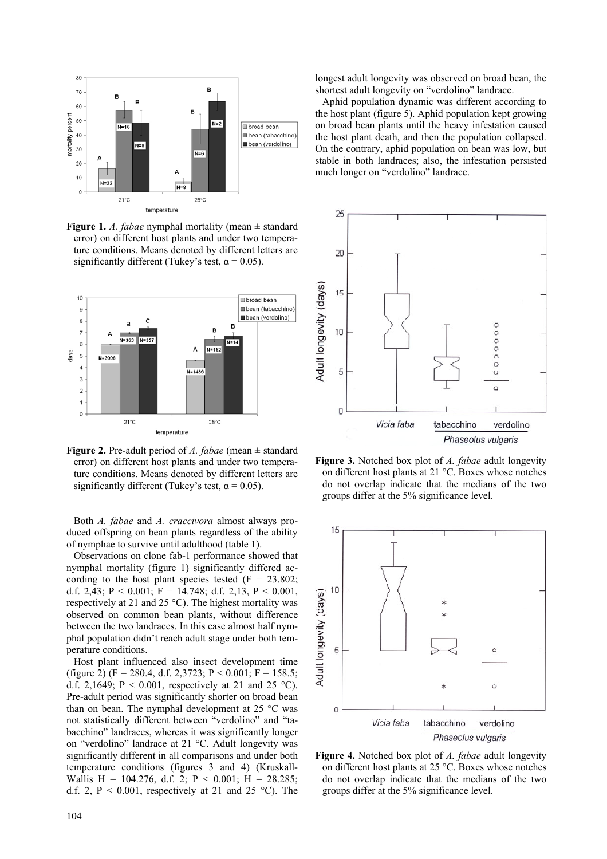

**Figure 1.** *A. fabae* nymphal mortality (mean ± standard error) on different host plants and under two temperature conditions. Means denoted by different letters are significantly different (Tukey's test,  $\alpha$  = 0.05).



**Figure 2.** Pre-adult period of *A. fabae* (mean ± standard error) on different host plants and under two temperature conditions. Means denoted by different letters are significantly different (Tukey's test,  $\alpha$  = 0.05).

Both *A. fabae* and *A. craccivora* almost always produced offspring on bean plants regardless of the ability of nymphae to survive until adulthood (table 1).

Observations on clone fab-1 performance showed that nymphal mortality (figure 1) significantly differed according to the host plant species tested  $(F = 23.802)$ ; d.f. 2,43;  $P < 0.001$ ;  $F = 14.748$ ; d.f. 2,13,  $P < 0.001$ , respectively at 21 and 25 °C). The highest mortality was observed on common bean plants, without difference between the two landraces. In this case almost half nymphal population didn't reach adult stage under both temperature conditions.

Host plant influenced also insect development time (figure 2) (F = 280.4, d.f. 2,3723; P < 0.001; F = 158.5; d.f. 2,1649;  $P < 0.001$ , respectively at 21 and 25 °C). Pre-adult period was significantly shorter on broad bean than on bean. The nymphal development at 25 °C was not statistically different between "verdolino" and "tabacchino" landraces, whereas it was significantly longer on "verdolino" landrace at 21 °C. Adult longevity was significantly different in all comparisons and under both temperature conditions (figures 3 and 4) (Kruskall-Wallis H = 104.276, d.f. 2; P < 0.001; H = 28.285; d.f. 2,  $P < 0.001$ , respectively at 21 and 25 °C). The longest adult longevity was observed on broad bean, the shortest adult longevity on "verdolino" landrace.

Aphid population dynamic was different according to the host plant (figure 5). Aphid population kept growing on broad bean plants until the heavy infestation caused the host plant death, and then the population collapsed. On the contrary, aphid population on bean was low, but stable in both landraces; also, the infestation persisted much longer on "verdolino" landrace.



**Figure 3.** Notched box plot of *A. fabae* adult longevity on different host plants at 21 °C. Boxes whose notches do not overlap indicate that the medians of the two groups differ at the 5% significance level.



**Figure 4.** Notched box plot of *A. fabae* adult longevity on different host plants at 25 °C. Boxes whose notches do not overlap indicate that the medians of the two groups differ at the 5% significance level.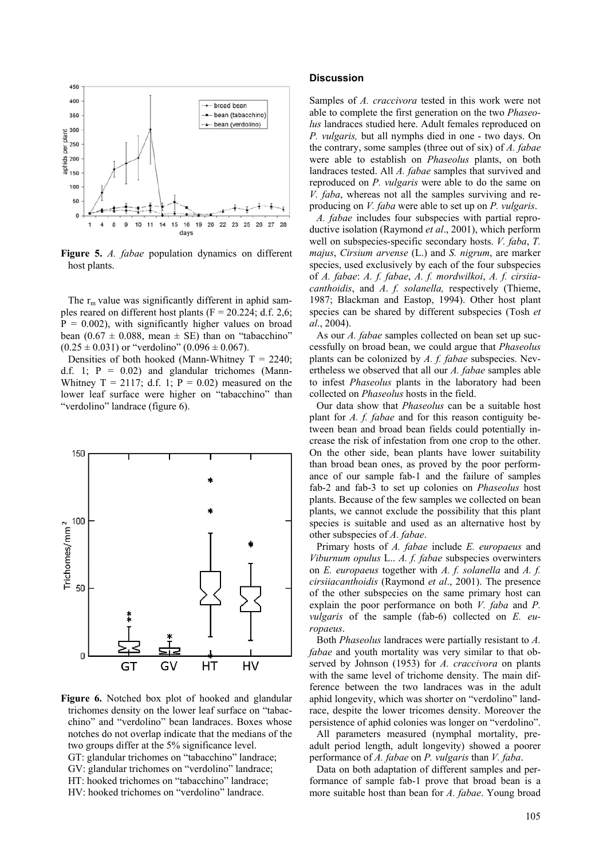

**Figure 5.** *A. fabae* population dynamics on different host plants.

The  $r_m$  value was significantly different in aphid samples reared on different host plants ( $F = 20.224$ ; d.f. 2,6;  $P = 0.002$ , with significantly higher values on broad bean  $(0.67 \pm 0.088$ , mean  $\pm$  SE) than on "tabacchino"  $(0.25 \pm 0.031)$  or "verdolino"  $(0.096 \pm 0.067)$ .

Densities of both hooked (Mann-Whitney  $T = 2240$ ; d.f. 1;  $P = 0.02$ ) and glandular trichomes (Mann-Whitney  $T = 2117$ ; d.f. 1;  $P = 0.02$ ) measured on the lower leaf surface were higher on "tabacchino" than "verdolino" landrace (figure 6).



**Figure 6.** Notched box plot of hooked and glandular trichomes density on the lower leaf surface on "tabacchino" and "verdolino" bean landraces. Boxes whose notches do not overlap indicate that the medians of the two groups differ at the 5% significance level. GT: glandular trichomes on "tabacchino" landrace; GV: glandular trichomes on "verdolino" landrace; HT: hooked trichomes on "tabacchino" landrace; HV: hooked trichomes on "verdolino" landrace.

#### **Discussion**

Samples of *A. craccivora* tested in this work were not able to complete the first generation on the two *Phaseolus* landraces studied here. Adult females reproduced on *P. vulgaris,* but all nymphs died in one - two days. On the contrary, some samples (three out of six) of *A. fabae* were able to establish on *Phaseolus* plants, on both landraces tested. All *A. fabae* samples that survived and reproduced on *P. vulgaris* were able to do the same on *V. faba*, whereas not all the samples surviving and reproducing on *V. faba* were able to set up on *P. vulgaris*.

*A. fabae* includes four subspecies with partial reproductive isolation (Raymond *et al*., 2001), which perform well on subspecies-specific secondary hosts. *V. faba*, *T. majus*, *Cirsium arvense* (L.) and *S. nigrum*, are marker species, used exclusively by each of the four subspecies of *A. fabae*: *A. f. fabae*, *A. f. mordwilkoi*, *A. f. cirsiiacanthoidis*, and *A*. *f. solanella,* respectively (Thieme, 1987; Blackman and Eastop, 1994). Other host plant species can be shared by different subspecies (Tosh *et al*., 2004).

As our *A. fabae* samples collected on bean set up successfully on broad bean, we could argue that *Phaseolus* plants can be colonized by *A. f. fabae* subspecies. Nevertheless we observed that all our *A. fabae* samples able to infest *Phaseolus* plants in the laboratory had been collected on *Phaseolus* hosts in the field.

Our data show that *Phaseolus* can be a suitable host plant for *A. f. fabae* and for this reason contiguity between bean and broad bean fields could potentially increase the risk of infestation from one crop to the other. On the other side, bean plants have lower suitability than broad bean ones, as proved by the poor performance of our sample fab-1 and the failure of samples fab-2 and fab-3 to set up colonies on *Phaseolus* host plants. Because of the few samples we collected on bean plants, we cannot exclude the possibility that this plant species is suitable and used as an alternative host by other subspecies of *A. fabae*.

Primary hosts of *A. fabae* include *E. europaeus* and *Viburnum opulus* L.. *A. f. fabae* subspecies overwinters on *E. europaeus* together with *A. f. solanella* and *A. f. cirsiiacanthoidis* (Raymond *et al*., 2001). The presence of the other subspecies on the same primary host can explain the poor performance on both *V. faba* and *P. vulgaris* of the sample (fab-6) collected on *E. europaeus*.

Both *Phaseolus* landraces were partially resistant to *A. fabae* and youth mortality was very similar to that observed by Johnson (1953) for *A. craccivora* on plants with the same level of trichome density. The main difference between the two landraces was in the adult aphid longevity, which was shorter on "verdolino" landrace, despite the lower tricomes density. Moreover the persistence of aphid colonies was longer on "verdolino".

All parameters measured (nymphal mortality, preadult period length, adult longevity) showed a poorer performance of *A. fabae* on *P. vulgaris* than *V. faba*.

Data on both adaptation of different samples and performance of sample fab-1 prove that broad bean is a more suitable host than bean for *A. fabae*. Young broad